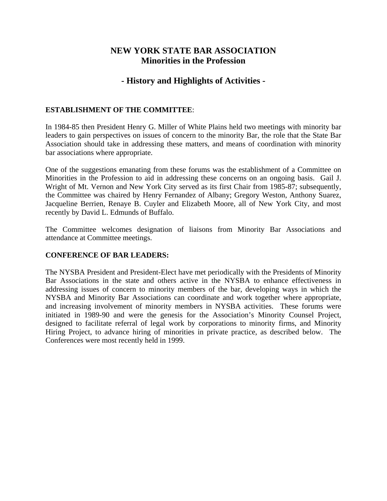## **NEW YORK STATE BAR ASSOCIATION Minorities in the Profession**

# **- History and Highlights of Activities -**

## **ESTABLISHMENT OF THE COMMITTEE**:

In 1984-85 then President Henry G. Miller of White Plains held two meetings with minority bar leaders to gain perspectives on issues of concern to the minority Bar, the role that the State Bar Association should take in addressing these matters, and means of coordination with minority bar associations where appropriate.

One of the suggestions emanating from these forums was the establishment of a Committee on Minorities in the Profession to aid in addressing these concerns on an ongoing basis. Gail J. Wright of Mt. Vernon and New York City served as its first Chair from 1985-87; subsequently, the Committee was chaired by Henry Fernandez of Albany; Gregory Weston, Anthony Suarez, Jacqueline Berrien, Renaye B. Cuyler and Elizabeth Moore, all of New York City, and most recently by David L. Edmunds of Buffalo.

The Committee welcomes designation of liaisons from Minority Bar Associations and attendance at Committee meetings.

## **CONFERENCE OF BAR LEADERS:**

The NYSBA President and President-Elect have met periodically with the Presidents of Minority Bar Associations in the state and others active in the NYSBA to enhance effectiveness in addressing issues of concern to minority members of the bar, developing ways in which the NYSBA and Minority Bar Associations can coordinate and work together where appropriate, and increasing involvement of minority members in NYSBA activities. These forums were initiated in 1989-90 and were the genesis for the Association's Minority Counsel Project, designed to facilitate referral of legal work by corporations to minority firms, and Minority Hiring Project, to advance hiring of minorities in private practice, as described below. The Conferences were most recently held in 1999.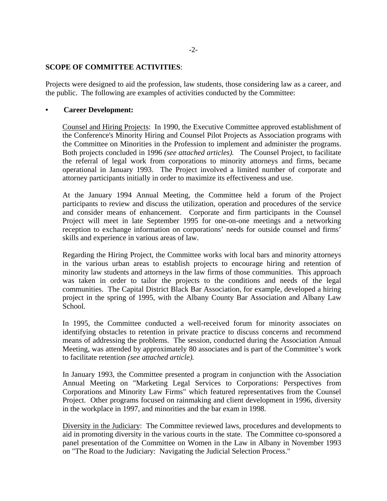#### **SCOPE OF COMMITTEE ACTIVITIES**:

Projects were designed to aid the profession, law students, those considering law as a career, and the public. The following are examples of activities conducted by the Committee:

#### **• Career Development:**

Counsel and Hiring Projects: In 1990, the Executive Committee approved establishment of the Conference's Minority Hiring and Counsel Pilot Projects as Association programs with the Committee on Minorities in the Profession to implement and administer the programs. Both projects concluded in 1996 *(see attached articles).* The Counsel Project, to facilitate the referral of legal work from corporations to minority attorneys and firms, became operational in January 1993. The Project involved a limited number of corporate and attorney participants initially in order to maximize its effectiveness and use.

At the January 1994 Annual Meeting, the Committee held a forum of the Project participants to review and discuss the utilization, operation and procedures of the service and consider means of enhancement. Corporate and firm participants in the Counsel Project will meet in late September 1995 for one-on-one meetings and a networking reception to exchange information on corporations' needs for outside counsel and firms' skills and experience in various areas of law.

Regarding the Hiring Project, the Committee works with local bars and minority attorneys in the various urban areas to establish projects to encourage hiring and retention of minority law students and attorneys in the law firms of those communities. This approach was taken in order to tailor the projects to the conditions and needs of the legal communities. The Capital District Black Bar Association, for example, developed a hiring project in the spring of 1995, with the Albany County Bar Association and Albany Law School.

In 1995, the Committee conducted a well-received forum for minority associates on identifying obstacles to retention in private practice to discuss concerns and recommend means of addressing the problems. The session, conducted during the Association Annual Meeting, was attended by approximately 80 associates and is part of the Committee's work to facilitate retention *(see attached article).*

In January 1993, the Committee presented a program in conjunction with the Association Annual Meeting on "Marketing Legal Services to Corporations: Perspectives from Corporations and Minority Law Firms" which featured representatives from the Counsel Project. Other programs focused on rainmaking and client development in 1996, diversity in the workplace in 1997, and minorities and the bar exam in 1998.

Diversity in the Judiciary: The Committee reviewed laws, procedures and developments to aid in promoting diversity in the various courts in the state. The Committee co-sponsored a panel presentation of the Committee on Women in the Law in Albany in November 1993 on "The Road to the Judiciary: Navigating the Judicial Selection Process."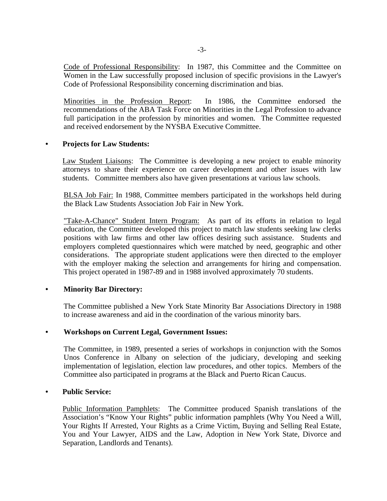Code of Professional Responsibility: In 1987, this Committee and the Committee on Women in the Law successfully proposed inclusion of specific provisions in the Lawyer's Code of Professional Responsibility concerning discrimination and bias.

Minorities in the Profession Report: In 1986, the Committee endorsed the recommendations of the ABA Task Force on Minorities in the Legal Profession to advance full participation in the profession by minorities and women. The Committee requested and received endorsement by the NYSBA Executive Committee.

#### **• Projects for Law Students:**

Law Student Liaisons: The Committee is developing a new project to enable minority attorneys to share their experience on career development and other issues with law students. Committee members also have given presentations at various law schools.

BLSA Job Fair: In 1988, Committee members participated in the workshops held during the Black Law Students Association Job Fair in New York.

"Take-A-Chance" Student Intern Program: As part of its efforts in relation to legal education, the Committee developed this project to match law students seeking law clerks positions with law firms and other law offices desiring such assistance. Students and employers completed questionnaires which were matched by need, geographic and other considerations. The appropriate student applications were then directed to the employer with the employer making the selection and arrangements for hiring and compensation. This project operated in 1987-89 and in 1988 involved approximately 70 students.

## **• Minority Bar Directory:**

The Committee published a New York State Minority Bar Associations Directory in 1988 to increase awareness and aid in the coordination of the various minority bars.

#### **• Workshops on Current Legal, Government Issues:**

The Committee, in 1989, presented a series of workshops in conjunction with the Somos Unos Conference in Albany on selection of the judiciary, developing and seeking implementation of legislation, election law procedures, and other topics. Members of the Committee also participated in programs at the Black and Puerto Rican Caucus.

#### **• Public Service:**

Public Information Pamphlets: The Committee produced Spanish translations of the Association's "Know Your Rights" public information pamphlets (Why You Need a Will, Your Rights If Arrested, Your Rights as a Crime Victim, Buying and Selling Real Estate, You and Your Lawyer, AIDS and the Law, Adoption in New York State, Divorce and Separation, Landlords and Tenants).